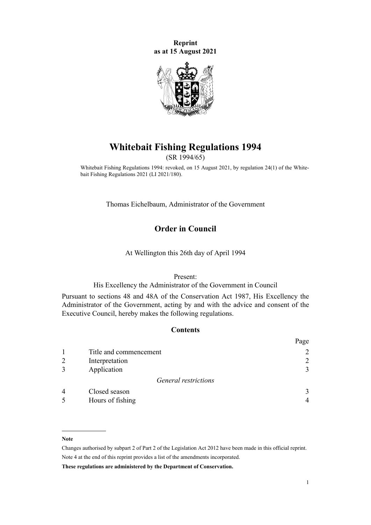**Reprint as at 15 August 2021**



# **Whitebait Fishing Regulations 1994**

(SR 1994/65)

Whitebait Fishing Regulations 1994: revoked, on 15 August 2021, by [regulation 24\(1\)](http://legislation.govt.nz/pdflink.aspx?id=LMS513962) of the Whitebait Fishing Regulations 2021 (LI 2021/180).

Thomas Eichelbaum, Administrator of the Government

# **Order in Council**

At Wellington this 26th day of April 1994

#### Present:

His Excellency the Administrator of the Government in Council

Pursuant to [sections 48](http://legislation.govt.nz/pdflink.aspx?id=DLM106689) and [48A](http://legislation.govt.nz/pdflink.aspx?id=DLM106694) of the [Conservation Act 1987,](http://legislation.govt.nz/pdflink.aspx?id=DLM103609) His Excellency the Administrator of the Government, acting by and with the advice and consent of the Executive Council, hereby makes the following regulations.

## **Contents**

| 2 |
|---|
| 3 |
|   |
| 3 |
|   |
|   |

#### **Note**

Changes authorised by [subpart 2](http://legislation.govt.nz/pdflink.aspx?id=DLM2998524) of Part 2 of the Legislation Act 2012 have been made in this official reprint. Note 4 at the end of this reprint provides a list of the amendments incorporated.

**These regulations are administered by the Department of Conservation.**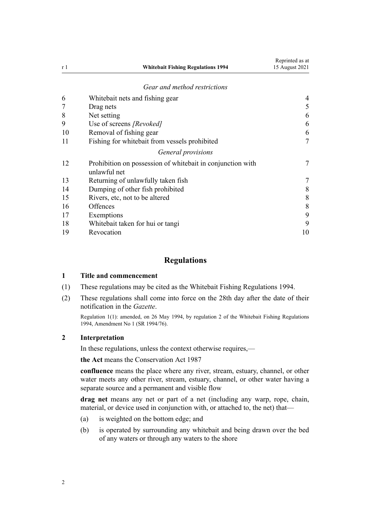<span id="page-1-0"></span>

| r 1 | <b>Whitebait Fishing Regulations 1994</b>                                  | 15 August 2021 |
|-----|----------------------------------------------------------------------------|----------------|
|     | Gear and method restrictions                                               |                |
| 6   | Whitebait nets and fishing gear                                            | 4              |
|     | Drag nets                                                                  | 5              |
| 8   | Net setting                                                                | 6              |
| 9   | Use of screens [Revoked]                                                   | 6              |
| 10  | Removal of fishing gear                                                    | 6              |
| 11  | Fishing for whitebait from vessels prohibited                              |                |
|     | General provisions                                                         |                |
| 12  | Prohibition on possession of whitebait in conjunction with<br>unlawful net |                |
| 13  | Returning of unlawfully taken fish                                         |                |
| 14  | Dumping of other fish prohibited                                           | 8              |
| 15  | Rivers, etc, not to be altered                                             | 8              |
| 16  | Offences                                                                   | 8              |
| 17  | Exemptions                                                                 | 9              |
| 18  | Whitebait taken for hui or tangi                                           | 9              |
| 19  | Revocation                                                                 | 10             |

Reprinted as at

# **Regulations**

#### **1 Title and commencement**

- (1) These regulations may be cited as the Whitebait Fishing Regulations 1994.
- (2) These regulations shall come into force on the 28th day after the date of their notification in the *Gazette*.

Regulation 1(1): amended, on 26 May 1994, by regulation 2 of the Whitebait Fishing Regulations 1994, Amendment No 1 (SR 1994/76).

## **2 Interpretation**

In these regulations, unless the context otherwise requires,—

**the Act** means the [Conservation Act 1987](http://legislation.govt.nz/pdflink.aspx?id=DLM103609)

**confluence** means the place where any river, stream, estuary, channel, or other water meets any other river, stream, estuary, channel, or other water having a separate source and a permanent and visible flow

**drag net** means any net or part of a net (including any warp, rope, chain, material, or device used in conjunction with, or attached to, the net) that—

- (a) is weighted on the bottom edge; and
- (b) is operated by surrounding any whitebait and being drawn over the bed of any waters or through any waters to the shore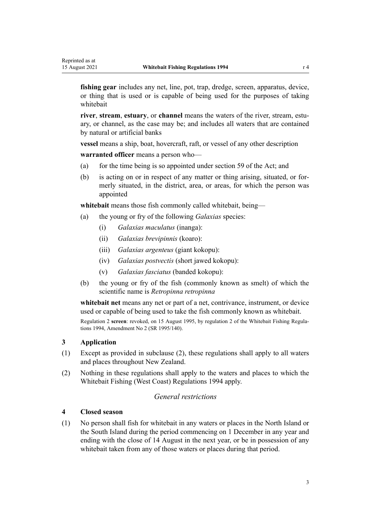<span id="page-2-0"></span>**fishing gear** includes any net, line, pot, trap, dredge, screen, apparatus, device, or thing that is used or is capable of being used for the purposes of taking whitebait

**river, stream, estuary, or <b>channel** means the waters of the river, stream, estuary, or channel, as the case may be; and includes all waters that are contained by natural or artificial banks

**vessel** means a ship, boat, hovercraft, raft, or vessel of any other description

**warranted officer** means a person who—

- (a) for the time being is so appointed under [section 59](http://legislation.govt.nz/pdflink.aspx?id=DLM106939) of the Act; and
- (b) is acting on or in respect of any matter or thing arising, situated, or for‐ merly situated, in the district, area, or areas, for which the person was appointed

**whitebait** means those fish commonly called whitebait, being—

- (a) the young or fry of the following *Galaxias* species:
	- (i) *Galaxias maculatus* (inanga):
	- (ii) *Galaxias brevipinnis* (koaro):
	- (iii) *Galaxias argenteus* (giant kokopu):
	- (iv) *Galaxias postvectis* (short jawed kokopu):
	- (v) *Galaxias fasciatus* (banded kokopu):
- (b) the young or fry of the fish (commonly known as smelt) of which the scientific name is *Retropinna retropinna*

**whitebait net** means any net or part of a net, contrivance, instrument, or device used or capable of being used to take the fish commonly known as whitebait.

Regulation 2 **screen**: revoked, on 15 August 1995, by regulation 2 of the Whitebait Fishing Regula‐ tions 1994, Amendment No 2 (SR 1995/140).

### **3 Application**

- (1) Except as provided in subclause (2), these regulations shall apply to all waters and places throughout New Zealand.
- (2) Nothing in these regulations shall apply to the waters and places to which the [Whitebait Fishing \(West Coast\) Regulations 1994](http://legislation.govt.nz/pdflink.aspx?id=DLM189577) apply.

# *General restrictions*

#### **4 Closed season**

(1) No person shall fish for whitebait in any waters or places in the North Island or the South Island during the period commencing on 1 December in any year and ending with the close of 14 August in the next year, or be in possession of any whitebait taken from any of those waters or places during that period.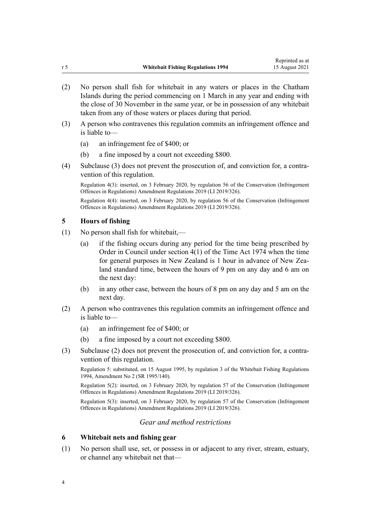- <span id="page-3-0"></span>(2) No person shall fish for whitebait in any waters or places in the Chatham Islands during the period commencing on 1 March in any year and ending with the close of 30 November in the same year, or be in possession of any whitebait taken from any of those waters or places during that period.
- (3) A person who contravenes this regulation commits an infringement offence and is liable to—
	- (a) an infringement fee of \$400; or
	- (b) a fine imposed by a court not exceeding \$800.
- (4) Subclause (3) does not prevent the prosecution of, and conviction for, a contra‐ vention of this regulation.

Regulation 4(3): inserted, on 3 February 2020, by [regulation 56](http://legislation.govt.nz/pdflink.aspx?id=LMS190015) of the Conservation (Infringement Offences in Regulations) Amendment Regulations 2019 (LI 2019/326).

Regulation 4(4): inserted, on 3 February 2020, by [regulation 56](http://legislation.govt.nz/pdflink.aspx?id=LMS190015) of the Conservation (Infringement Offences in Regulations) Amendment Regulations 2019 (LI 2019/326).

## **5 Hours of fishing**

- (1) No person shall fish for whitebait,—
	- (a) if the fishing occurs during any period for the time being prescribed by Order in Council under [section 4\(1\)](http://legislation.govt.nz/pdflink.aspx?id=DLM412773) of the Time Act 1974 when the time for general purposes in New Zealand is 1 hour in advance of New Zealand standard time, between the hours of 9 pm on any day and 6 am on the next day:
	- (b) in any other case, between the hours of 8 pm on any day and 5 am on the next day.
- (2) A person who contravenes this regulation commits an infringement offence and is liable to—
	- (a) an infringement fee of \$400; or
	- (b) a fine imposed by a court not exceeding \$800.
- (3) Subclause (2) does not prevent the prosecution of, and conviction for, a contra‐ vention of this regulation.

Regulation 5: substituted, on 15 August 1995, by regulation 3 of the Whitebait Fishing Regulations 1994, Amendment No 2 (SR 1995/140).

Regulation 5(2): inserted, on 3 February 2020, by [regulation 57](http://legislation.govt.nz/pdflink.aspx?id=LMS190016) of the Conservation (Infringement Offences in Regulations) Amendment Regulations 2019 (LI 2019/326).

Regulation 5(3): inserted, on 3 February 2020, by [regulation 57](http://legislation.govt.nz/pdflink.aspx?id=LMS190016) of the Conservation (Infringement Offences in Regulations) Amendment Regulations 2019 (LI 2019/326).

# *Gear and method restrictions*

#### **6 Whitebait nets and fishing gear**

(1) No person shall use, set, or possess in or adjacent to any river, stream, estuary, or channel any whitebait net that—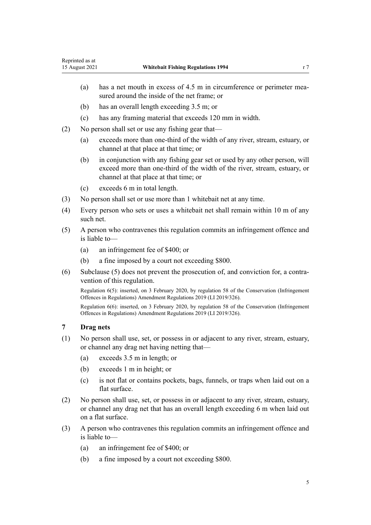- <span id="page-4-0"></span>(a) has a net mouth in excess of  $4.5$  m in circumference or perimeter measured around the inside of the net frame; or
- (b) has an overall length exceeding 3.5 m; or
- (c) has any framing material that exceeds 120 mm in width.
- (2) No person shall set or use any fishing gear that—
	- (a) exceeds more than one-third of the width of any river, stream, estuary, or channel at that place at that time; or
	- (b) in conjunction with any fishing gear set or used by any other person, will exceed more than one-third of the width of the river, stream, estuary, or channel at that place at that time; or
	- (c) exceeds 6 m in total length.
- (3) No person shall set or use more than 1 whitebait net at any time.
- (4) Every person who sets or uses a whitebait net shall remain within 10 m of any such net.
- (5) A person who contravenes this regulation commits an infringement offence and is liable to—
	- (a) an infringement fee of \$400; or
	- (b) a fine imposed by a court not exceeding \$800.
- (6) Subclause (5) does not prevent the prosecution of, and conviction for, a contra‐ vention of this regulation.

Regulation 6(5): inserted, on 3 February 2020, by [regulation 58](http://legislation.govt.nz/pdflink.aspx?id=LMS190017) of the Conservation (Infringement Offences in Regulations) Amendment Regulations 2019 (LI 2019/326).

Regulation 6(6): inserted, on 3 February 2020, by [regulation 58](http://legislation.govt.nz/pdflink.aspx?id=LMS190017) of the Conservation (Infringement Offences in Regulations) Amendment Regulations 2019 (LI 2019/326).

## **7 Drag nets**

- (1) No person shall use, set, or possess in or adjacent to any river, stream, estuary, or channel any drag net having netting that—
	- (a) exceeds 3.5 m in length; or
	- (b) exceeds 1 m in height; or
	- (c) is not flat or contains pockets, bags, funnels, or traps when laid out on a flat surface.
- (2) No person shall use, set, or possess in or adjacent to any river, stream, estuary, or channel any drag net that has an overall length exceeding 6 m when laid out on a flat surface.
- (3) A person who contravenes this regulation commits an infringement offence and is liable to—
	- (a) an infringement fee of \$400; or
	- (b) a fine imposed by a court not exceeding \$800.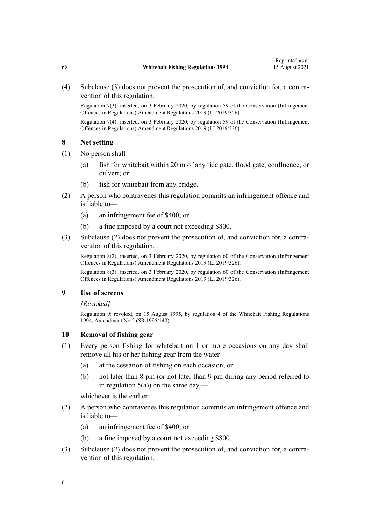<span id="page-5-0"></span>(4) Subclause (3) does not prevent the prosecution of, and conviction for, a contra‐ vention of this regulation.

Regulation 7(3): inserted, on 3 February 2020, by [regulation 59](http://legislation.govt.nz/pdflink.aspx?id=LMS190018) of the Conservation (Infringement Offences in Regulations) Amendment Regulations 2019 (LI 2019/326).

Regulation 7(4): inserted, on 3 February 2020, by [regulation 59](http://legislation.govt.nz/pdflink.aspx?id=LMS190018) of the Conservation (Infringement Offences in Regulations) Amendment Regulations 2019 (LI 2019/326).

## **8 Net setting**

- (1) No person shall—
	- (a) fish for whitebait within 20 m of any tide gate, flood gate, confluence, or culvert; or
	- (b) fish for whitebait from any bridge.
- (2) A person who contravenes this regulation commits an infringement offence and is liable to—
	- (a) an infringement fee of \$400; or
	- (b) a fine imposed by a court not exceeding \$800.
- (3) Subclause (2) does not prevent the prosecution of, and conviction for, a contra‐ vention of this regulation.

Regulation 8(2): inserted, on 3 February 2020, by [regulation 60](http://legislation.govt.nz/pdflink.aspx?id=LMS190019) of the Conservation (Infringement Offences in Regulations) Amendment Regulations 2019 (LI 2019/326).

Regulation 8(3): inserted, on 3 February 2020, by [regulation 60](http://legislation.govt.nz/pdflink.aspx?id=LMS190019) of the Conservation (Infringement Offences in Regulations) Amendment Regulations 2019 (LI 2019/326).

#### **9 Use of screens**

#### *[Revoked]*

Regulation 9: revoked, on 15 August 1995, by regulation 4 of the Whitebait Fishing Regulations 1994, Amendment No 2 (SR 1995/140).

## **10 Removal of fishing gear**

- (1) Every person fishing for whitebait on 1 or more occasions on any day shall remove all his or her fishing gear from the water—
	- (a) at the cessation of fishing on each occasion; or
	- (b) not later than 8 pm (or not later than 9 pm during any period referred to in regulation  $5(a)$ ) on the same day,—

whichever is the earlier.

- (2) A person who contravenes this regulation commits an infringement offence and is liable to—
	- (a) an infringement fee of \$400; or
	- (b) a fine imposed by a court not exceeding \$800.
- (3) Subclause (2) does not prevent the prosecution of, and conviction for, a contra‐ vention of this regulation.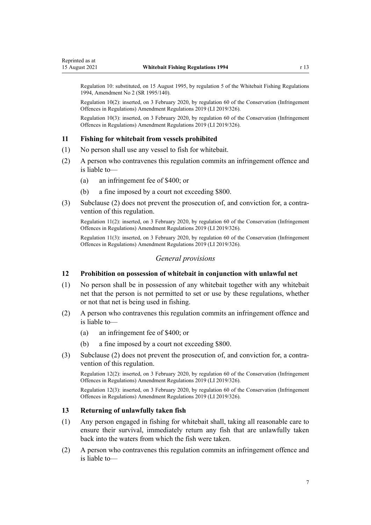<span id="page-6-0"></span>Regulation 10: substituted, on 15 August 1995, by regulation 5 of the Whitebait Fishing Regulations 1994, Amendment No 2 (SR 1995/140).

Regulation 10(2): inserted, on 3 February 2020, by [regulation 60](http://legislation.govt.nz/pdflink.aspx?id=LMS190019) of the Conservation (Infringement Offences in Regulations) Amendment Regulations 2019 (LI 2019/326).

Regulation 10(3): inserted, on 3 February 2020, by [regulation 60](http://legislation.govt.nz/pdflink.aspx?id=LMS190019) of the Conservation (Infringement Offences in Regulations) Amendment Regulations 2019 (LI 2019/326).

#### **11 Fishing for whitebait from vessels prohibited**

- (1) No person shall use any vessel to fish for whitebait.
- (2) A person who contravenes this regulation commits an infringement offence and is liable to—
	- (a) an infringement fee of \$400; or
	- (b) a fine imposed by a court not exceeding \$800.
- (3) Subclause (2) does not prevent the prosecution of, and conviction for, a contra‐ vention of this regulation.

Regulation 11(2): inserted, on 3 February 2020, by [regulation 60](http://legislation.govt.nz/pdflink.aspx?id=LMS190019) of the Conservation (Infringement Offences in Regulations) Amendment Regulations 2019 (LI 2019/326).

Regulation 11(3): inserted, on 3 February 2020, by [regulation 60](http://legislation.govt.nz/pdflink.aspx?id=LMS190019) of the Conservation (Infringement Offences in Regulations) Amendment Regulations 2019 (LI 2019/326).

# *General provisions*

### **12 Prohibition on possession of whitebait in conjunction with unlawful net**

- (1) No person shall be in possession of any whitebait together with any whitebait net that the person is not permitted to set or use by these regulations, whether or not that net is being used in fishing.
- (2) A person who contravenes this regulation commits an infringement offence and is liable to—
	- (a) an infringement fee of \$400; or
	- (b) a fine imposed by a court not exceeding \$800.
- (3) Subclause (2) does not prevent the prosecution of, and conviction for, a contra‐ vention of this regulation.

Regulation 12(2): inserted, on 3 February 2020, by [regulation 60](http://legislation.govt.nz/pdflink.aspx?id=LMS190019) of the Conservation (Infringement Offences in Regulations) Amendment Regulations 2019 (LI 2019/326).

Regulation 12(3): inserted, on 3 February 2020, by [regulation 60](http://legislation.govt.nz/pdflink.aspx?id=LMS190019) of the Conservation (Infringement Offences in Regulations) Amendment Regulations 2019 (LI 2019/326).

#### **13 Returning of unlawfully taken fish**

- (1) Any person engaged in fishing for whitebait shall, taking all reasonable care to ensure their survival, immediately return any fish that are unlawfully taken back into the waters from which the fish were taken.
- (2) A person who contravenes this regulation commits an infringement offence and is liable to—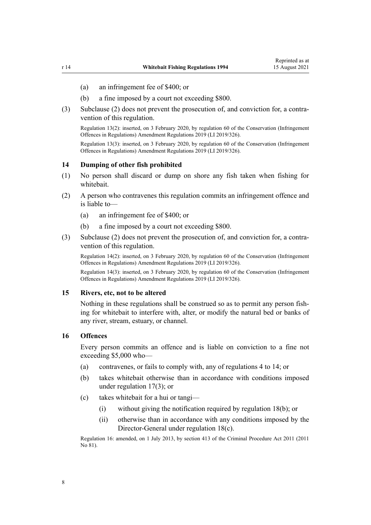- <span id="page-7-0"></span>(a) an infringement fee of \$400; or
- (b) a fine imposed by a court not exceeding \$800.
- (3) Subclause (2) does not prevent the prosecution of, and conviction for, a contra‐ vention of this regulation.

Regulation 13(2): inserted, on 3 February 2020, by [regulation 60](http://legislation.govt.nz/pdflink.aspx?id=LMS190019) of the Conservation (Infringement Offences in Regulations) Amendment Regulations 2019 (LI 2019/326).

Regulation 13(3): inserted, on 3 February 2020, by [regulation 60](http://legislation.govt.nz/pdflink.aspx?id=LMS190019) of the Conservation (Infringement Offences in Regulations) Amendment Regulations 2019 (LI 2019/326).

#### **14 Dumping of other fish prohibited**

- (1) No person shall discard or dump on shore any fish taken when fishing for whitebait.
- (2) A person who contravenes this regulation commits an infringement offence and is liable to—
	- (a) an infringement fee of \$400; or
	- (b) a fine imposed by a court not exceeding \$800.
- (3) Subclause (2) does not prevent the prosecution of, and conviction for, a contra‐ vention of this regulation.

Regulation 14(2): inserted, on 3 February 2020, by [regulation 60](http://legislation.govt.nz/pdflink.aspx?id=LMS190019) of the Conservation (Infringement Offences in Regulations) Amendment Regulations 2019 (LI 2019/326).

Regulation 14(3): inserted, on 3 February 2020, by [regulation 60](http://legislation.govt.nz/pdflink.aspx?id=LMS190019) of the Conservation (Infringement Offences in Regulations) Amendment Regulations 2019 (LI 2019/326).

#### **15 Rivers, etc, not to be altered**

Nothing in these regulations shall be construed so as to permit any person fish‐ ing for whitebait to interfere with, alter, or modify the natural bed or banks of any river, stream, estuary, or channel.

#### **16 Offences**

Every person commits an offence and is liable on conviction to a fine not exceeding \$5,000 who—

- (a) contravenes, or fails to comply with, any of [regulations 4 to 14](#page-2-0); or
- (b) takes whitebait otherwise than in accordance with conditions imposed under [regulation 17\(3\);](#page-8-0) or
- (c) takes whitebait for a hui or tangi—
	- (i) without giving the notification required by [regulation 18\(b\)](#page-8-0); or
	- (ii) otherwise than in accordance with any conditions imposed by the Director-General under [regulation 18\(c\)](#page-8-0).

Regulation 16: amended, on 1 July 2013, by [section 413](http://legislation.govt.nz/pdflink.aspx?id=DLM3360714) of the Criminal Procedure Act 2011 (2011 No 81).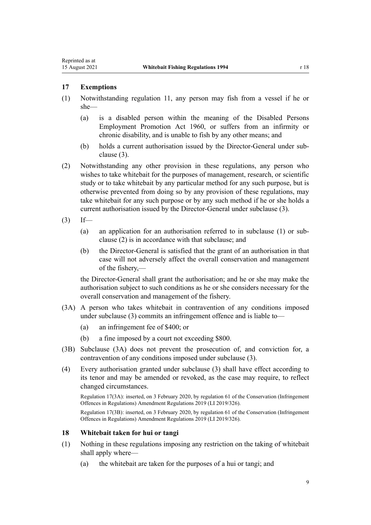# <span id="page-8-0"></span>**17 Exemptions**

- (1) Notwithstanding [regulation 11,](#page-6-0) any person may fish from a vessel if he or she—
	- (a) is a disabled person within the meaning of the Disabled Persons Employment Promotion Act 1960, or suffers from an infirmity or chronic disability, and is unable to fish by any other means; and
	- (b) holds a current authorisation issued by the Director-General under subclause (3).
- (2) Notwithstanding any other provision in these regulations, any person who wishes to take whitebait for the purposes of management, research, or scientific study or to take whitebait by any particular method for any such purpose, but is otherwise prevented from doing so by any provision of these regulations, may take whitebait for any such purpose or by any such method if he or she holds a current authorisation issued by the Director-General under subclause (3).
- $(3)$  If—
	- (a) an application for an authorisation referred to in subclause (1) or sub‐ clause (2) is in accordance with that subclause; and
	- (b) the Director-General is satisfied that the grant of an authorisation in that case will not adversely affect the overall conservation and management of the fishery,—

the Director-General shall grant the authorisation; and he or she may make the authorisation subject to such conditions as he or she considers necessary for the overall conservation and management of the fishery.

- (3A) A person who takes whitebait in contravention of any conditions imposed under subclause (3) commits an infringement offence and is liable to—
	- (a) an infringement fee of \$400; or
	- (b) a fine imposed by a court not exceeding \$800.
- (3B) Subclause (3A) does not prevent the prosecution of, and conviction for, a contravention of any conditions imposed under subclause (3).
- (4) Every authorisation granted under subclause (3) shall have effect according to its tenor and may be amended or revoked, as the case may require, to reflect changed circumstances.

Regulation 17(3A): inserted, on 3 February 2020, by [regulation 61](http://legislation.govt.nz/pdflink.aspx?id=LMS190022) of the Conservation (Infringement Offences in Regulations) Amendment Regulations 2019 (LI 2019/326).

Regulation 17(3B): inserted, on 3 February 2020, by [regulation 61](http://legislation.govt.nz/pdflink.aspx?id=LMS190022) of the Conservation (Infringement Offences in Regulations) Amendment Regulations 2019 (LI 2019/326).

## **18 Whitebait taken for hui or tangi**

- (1) Nothing in these regulations imposing any restriction on the taking of whitebait shall apply where—
	- (a) the whitebait are taken for the purposes of a hui or tangi; and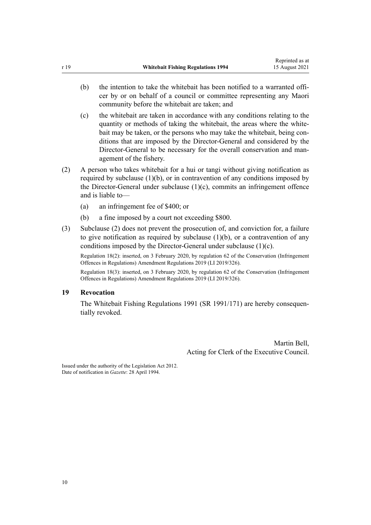- <span id="page-9-0"></span>(b) the intention to take the whitebait has been notified to a warranted officer by or on behalf of a council or committee representing any Maori community before the whitebait are taken; and
- (c) the whitebait are taken in accordance with any conditions relating to the quantity or methods of taking the whitebait, the areas where the whitebait may be taken, or the persons who may take the whitebait, being conditions that are imposed by the Director-General and considered by the Director-General to be necessary for the overall conservation and management of the fishery.
- (2) A person who takes whitebait for a hui or tangi without giving notification as required by subclause  $(1)(b)$ , or in contravention of any conditions imposed by the Director-General under subclause (1)(c), commits an infringement offence and is liable to—
	- (a) an infringement fee of \$400; or
	- (b) a fine imposed by a court not exceeding \$800.
- (3) Subclause (2) does not prevent the prosecution of, and conviction for, a failure to give notification as required by subclause  $(1)(b)$ , or a contravention of any conditions imposed by the Director-General under subclause (1)(c).

Regulation 18(2): inserted, on 3 February 2020, by [regulation 62](http://legislation.govt.nz/pdflink.aspx?id=LMS190023) of the Conservation (Infringement Offences in Regulations) Amendment Regulations 2019 (LI 2019/326).

Regulation 18(3): inserted, on 3 February 2020, by [regulation 62](http://legislation.govt.nz/pdflink.aspx?id=LMS190023) of the Conservation (Infringement Offences in Regulations) Amendment Regulations 2019 (LI 2019/326).

## **19 Revocation**

The Whitebait Fishing Regulations 1991 (SR 1991/171) are hereby consequentially revoked.

> Martin Bell, Acting for Clerk of the Executive Council.

Issued under the authority of the [Legislation Act 2012](http://legislation.govt.nz/pdflink.aspx?id=DLM2997643). Date of notification in *Gazette*: 28 April 1994.